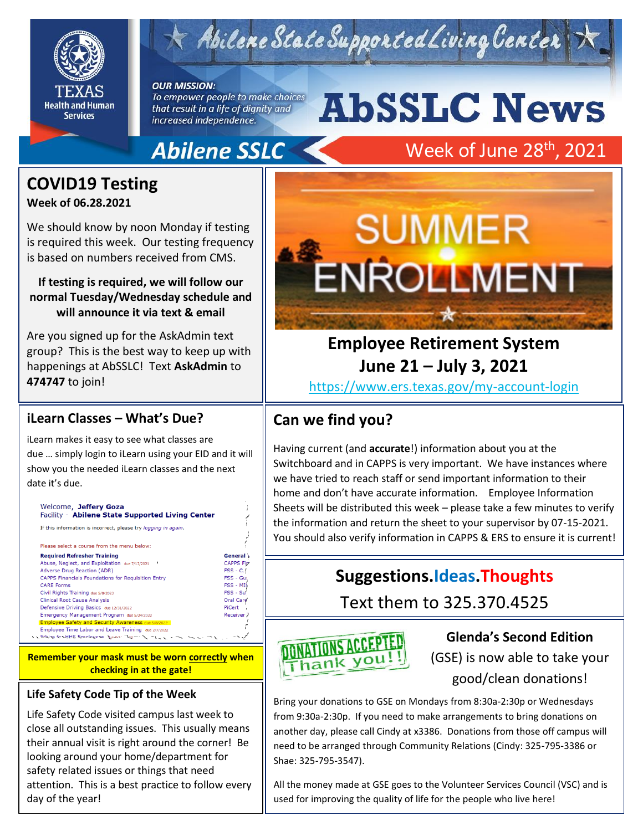

# $\times$  Abilene State Supported Living Center

**OUR MISSION:** To empower people to make choices

that result in a life of dignity and increased independence.

# **AbSSLC News Abilene SSLC**

# Week of June 28<sup>th</sup>, 2021

## **COVID19 Testing**

#### **Week of 06.28.2021**

We should know by noon Monday if testing is required this week. Our testing frequency is based on numbers received from CMS.

#### **If testing is required, we will follow our normal Tuesday/Wednesday schedule and will announce it via text & email**

Are you signed up for the AskAdmin text group? This is the best way to keep up with happenings at AbSSLC! Text **AskAdmin** to **474747** to join!

#### **iLearn Classes – What's Due?**

iLearn makes it easy to see what classes are due … simply login to iLearn using your EID and it will show you the needed iLearn classes and the next date it's due.

| Welcome, Jeffery Goza<br>Facility - Abilene State Supported Living Center                                                                                                                                                      |                   |
|--------------------------------------------------------------------------------------------------------------------------------------------------------------------------------------------------------------------------------|-------------------|
| If this information is incorrect, please try <i>logging in again</i> .                                                                                                                                                         |                   |
| Please select a course from the menu below:                                                                                                                                                                                    |                   |
| <b>Required Refresher Training</b>                                                                                                                                                                                             | General           |
| Abuse, Neglect, and Exploitation due 7/17/2021                                                                                                                                                                                 | <b>CAPPS Fig.</b> |
| <b>Adverse Drug Reaction (ADR)</b>                                                                                                                                                                                             | $FSS - C.$        |
| <b>CAPPS Financials Foundations for Requisition Entry</b>                                                                                                                                                                      | FSS - Gut         |
| <b>CARE Forms</b>                                                                                                                                                                                                              | FSS - MIN         |
| Civil Rights Training due 5/8/2023                                                                                                                                                                                             | $FSS - SU$        |
| <b>Clinical Root Cause Analysis</b>                                                                                                                                                                                            | Oral Care         |
| Defensive Driving Basics due 12/31/2022                                                                                                                                                                                        | PiCert            |
| Emergency Management Program due 5/24/2022                                                                                                                                                                                     | Receiver 7        |
| <b>Employee Safety and Security Awareness due 5/8/2022</b>                                                                                                                                                                     |                   |
| Employee Time Labor and Leave Training due 2/7/2022                                                                                                                                                                            |                   |
| State of the Context of the Context of Context of the Context of the Context of the Context of the Context of the Context of the Context of the Context of the Context of the Context of the Context of the Context of the Con |                   |

**Remember your mask must be worn correctly when checking in at the gate!**

#### **Life Safety Code Tip of the Week**

Life Safety Code visited campus last week to close all outstanding issues. This usually means their annual visit is right around the corner! Be looking around your home/department for safety related issues or things that need attention. This is a best practice to follow every day of the year!



## **Employee Retirement System June 21 – July 3, 2021**

<https://www.ers.texas.gov/my-account-login>

### **Can we find you?**

Having current (and **accurate**!) information about you at the Switchboard and in CAPPS is very important. We have instances where we have tried to reach staff or send important information to their home and don't have accurate information. Employee Information Sheets will be distributed this week – please take a few minutes to verify the information and return the sheet to your supervisor by 07-15-2021. You should also verify information in CAPPS & ERS to ensure it is current!

## **Suggestions.Ideas.Thoughts**

Text them to 325.370.4525



#### **Glenda's Second Edition**

2019

(GSE) is now able to take your good/clean donations!

Bring your donations to GSE on Mondays from 8:30a-2:30p or Wednesdays from 9:30a-2:30p. If you need to make arrangements to bring donations on another day, please call Cindy at x3386. Donations from those off campus will need to be arranged through Community Relations (Cindy: 325-795-3386 or Shae: 325-795-3547).

All the money made at GSE goes to the Volunteer Services Council (VSC) and is used for improving the quality of life for the people who live here!